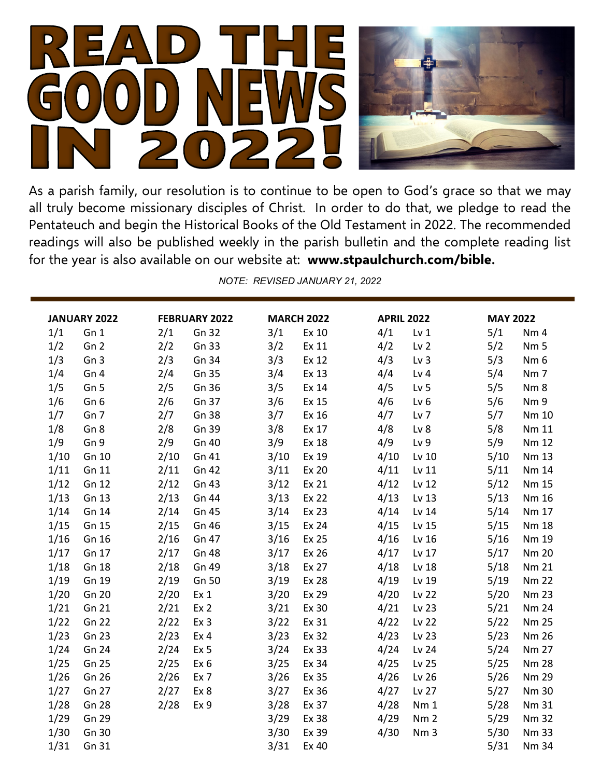

As a parish family, our resolution is to continue to be open to God's grace so that we may all truly become missionary disciples of Christ. In order to do that, we pledge to read the Pentateuch and begin the Historical Books of the Old Testament in 2022. The recommended readings will also be published weekly in the parish bulletin and the complete reading list for the year is also available on our website at: **www.stpaulchurch.com/bible.**

*NOTE: REVISED JANUARY 21, 2022*

| JANUARY 2022 |                 | <b>FEBRUARY 2022</b> |                 | <b>MARCH 2022</b> |              | <b>APRIL 2022</b> |                 | <b>MAY 2022</b> |                 |
|--------------|-----------------|----------------------|-----------------|-------------------|--------------|-------------------|-----------------|-----------------|-----------------|
| 1/1          | Gn 1            | 2/1                  | Gn 32           | 3/1               | Ex 10        | 4/1               | Lv <sub>1</sub> | 5/1             | Nm <sub>4</sub> |
| 1/2          | Gn <sub>2</sub> | 2/2                  | Gn 33           | 3/2               | Ex 11        | 4/2               | Lv <sub>2</sub> | 5/2             | Nm <sub>5</sub> |
| 1/3          | Gn <sub>3</sub> | 2/3                  | Gn 34           | 3/3               | Ex 12        | 4/3               | Lv <sub>3</sub> | 5/3             | Nm <sub>6</sub> |
| 1/4          | Gn 4            | 2/4                  | Gn 35           | 3/4               | Ex 13        | 4/4               | Lv <sub>4</sub> | 5/4             | Nm <sub>7</sub> |
| 1/5          | Gn <sub>5</sub> | 2/5                  | Gn 36           | 3/5               | Ex 14        | 4/5               | Lv <sub>5</sub> | 5/5             | Nm <sub>8</sub> |
| 1/6          | Gn <sub>6</sub> | 2/6                  | Gn 37           | 3/6               | Ex 15        | 4/6               | Lv <sub>6</sub> | 5/6             | Nm 9            |
| 1/7          | Gn <sub>7</sub> | 2/7                  | Gn 38           | 3/7               | Ex 16        | 4/7               | Lv <sub>7</sub> | 5/7             | Nm 10           |
| 1/8          | Gn <sub>8</sub> | 2/8                  | Gn 39           | 3/8               | Ex 17        | 4/8               | Lv 8            | 5/8             | Nm 11           |
| 1/9          | Gn 9            | 2/9                  | Gn 40           | 3/9               | Ex 18        | 4/9               | Lv <sub>9</sub> | 5/9             | Nm 12           |
| 1/10         | Gn 10           | 2/10                 | Gn 41           | 3/10              | Ex 19        | 4/10              | Lv 10           | 5/10            | Nm 13           |
| 1/11         | Gn 11           | 2/11                 | Gn 42           | 3/11              | Ex 20        | 4/11              | Lv 11           | 5/11            | Nm 14           |
| 1/12         | Gn 12           | 2/12                 | Gn 43           | 3/12              | Ex 21        | 4/12              | Lv 12           | 5/12            | <b>Nm 15</b>    |
| 1/13         | Gn 13           | 2/13                 | Gn 44           | 3/13              | Ex 22        | 4/13              | Lv 13           | 5/13            | Nm 16           |
| 1/14         | Gn 14           | 2/14                 | Gn 45           | 3/14              | Ex 23        | 4/14              | Lv 14           | 5/14            | Nm 17           |
| 1/15         | Gn 15           | 2/15                 | Gn 46           | 3/15              | Ex 24        | 4/15              | Lv 15           | 5/15            | <b>Nm 18</b>    |
| 1/16         | Gn 16           | 2/16                 | Gn 47           | 3/16              | Ex 25        | 4/16              | Lv 16           | 5/16            | Nm 19           |
| 1/17         | Gn 17           | 2/17                 | <b>Gn 48</b>    | 3/17              | Ex 26        | 4/17              | Lv 17           | 5/17            | <b>Nm 20</b>    |
| 1/18         | Gn 18           | 2/18                 | Gn 49           | 3/18              | Ex 27        | 4/18              | Lv 18           | 5/18            | <b>Nm 21</b>    |
| 1/19         | Gn 19           | 2/19                 | Gn 50           | 3/19              | <b>Ex 28</b> | 4/19              | Lv 19           | 5/19            | <b>Nm 22</b>    |
| 1/20         | Gn 20           | 2/20                 | Ex <sub>1</sub> | 3/20              | Ex 29        | 4/20              | Lv 22           | 5/20            | <b>Nm 23</b>    |
| 1/21         | Gn 21           | 2/21                 | Ex 2            | 3/21              | Ex 30        | 4/21              | Lv 23           | 5/21            | <b>Nm 24</b>    |
| 1/22         | Gn 22           | 2/22                 | Ex 3            | 3/22              | Ex 31        | 4/22              | Lv 22           | 5/22            | <b>Nm 25</b>    |
| 1/23         | Gn 23           | 2/23                 | Ex <sub>4</sub> | 3/23              | Ex 32        | 4/23              | Lv 23           | 5/23            | <b>Nm 26</b>    |
| 1/24         | Gn 24           | 2/24                 | Ex <sub>5</sub> | 3/24              | Ex 33        | 4/24              | Lv 24           | 5/24            | <b>Nm 27</b>    |
| 1/25         | Gn 25           | 2/25                 | Ex <sub>6</sub> | 3/25              | Ex 34        | 4/25              | Lv 25           | 5/25            | <b>Nm 28</b>    |
| 1/26         | Gn 26           | 2/26                 | Ex <sub>7</sub> | 3/26              | Ex 35        | 4/26              | Lv 26           | 5/26            | <b>Nm 29</b>    |
| 1/27         | Gn 27           | 2/27                 | Ex 8            | 3/27              | Ex 36        | 4/27              | Lv 27           | 5/27            | <b>Nm 30</b>    |
| 1/28         | Gn 28           | 2/28                 | Ex 9            | 3/28              | Ex 37        | 4/28              | Nm <sub>1</sub> | 5/28            | Nm 31           |
| 1/29         | Gn 29           |                      |                 | 3/29              | Ex 38        | 4/29              | Nm <sub>2</sub> | 5/29            | <b>Nm 32</b>    |
| 1/30         | Gn 30           |                      |                 | 3/30              | Ex 39        | 4/30              | Nm <sub>3</sub> | 5/30            | <b>Nm 33</b>    |
| 1/31         | Gn 31           |                      |                 | 3/31              | Ex 40        |                   |                 | 5/31            | Nm 34           |